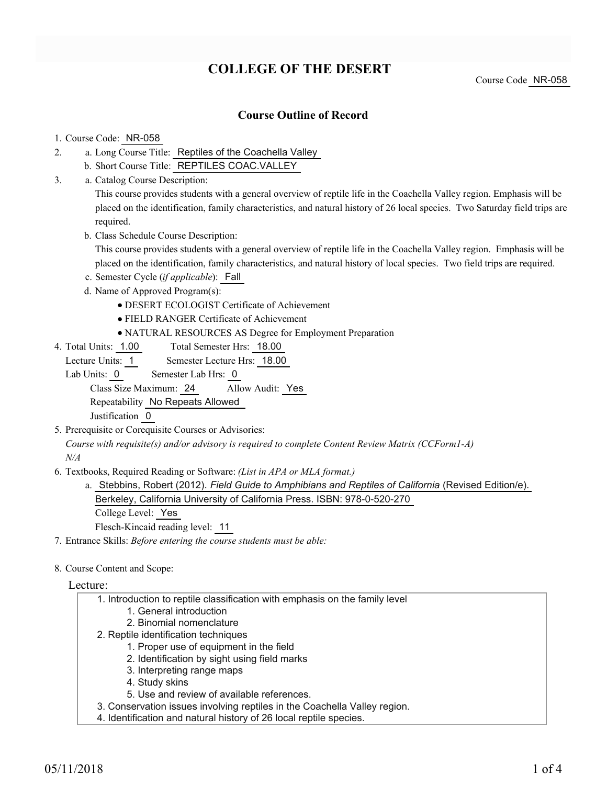## **COLLEGE OF THE DESERT**

### **Course Outline of Record**

#### 1. Course Code: NR-058

- a. Long Course Title: Reptiles of the Coachella Valley 2.
	- b. Short Course Title: REPTILES COAC.VALLEY
- Catalog Course Description: a. 3.

This course provides students with a general overview of reptile life in the Coachella Valley region. Emphasis will be placed on the identification, family characteristics, and natural history of 26 local species. Two Saturday field trips are required.

b. Class Schedule Course Description:

This course provides students with a general overview of reptile life in the Coachella Valley region. Emphasis will be placed on the identification, family characteristics, and natural history of local species. Two field trips are required.

- c. Semester Cycle (*if applicable*): Fall
- d. Name of Approved Program(s):
	- DESERT ECOLOGIST Certificate of Achievement
	- FIELD RANGER Certificate of Achievement
	- NATURAL RESOURCES AS Degree for Employment Preparation
- Total Semester Hrs: 18.00 4. Total Units: 1.00

Lecture Units: 1 Semester Lecture Hrs: 18.00

Lab Units: 0 Semester Lab Hrs: 0

Class Size Maximum: 24 Allow Audit: Yes

Repeatability No Repeats Allowed

Justification 0

5. Prerequisite or Corequisite Courses or Advisories:

*Course with requisite(s) and/or advisory is required to complete Content Review Matrix (CCForm1-A) N/A*

Textbooks, Required Reading or Software: *(List in APA or MLA format.)* 6.

a. Stebbins, Robert (2012). *Field Guide to Amphibians and Reptiles of California* (Revised Edition/e). Berkeley, California University of California Press. ISBN: 978-0-520-270

College Level: Yes

Flesch-Kincaid reading level: 11

- 7. Entrance Skills: *Before entering the course students must be able:*
- 8. Course Content and Scope:

#### Lecture:

- 1. Introduction to reptile classification with emphasis on the family level
	- 1. General introduction
	- 2. Binomial nomenclature
- 2. Reptile identification techniques
	- 1. Proper use of equipment in the field
	- 2. Identification by sight using field marks
	- 3. Interpreting range maps
	- 4. Study skins
	- 5. Use and review of available references.
- 3. Conservation issues involving reptiles in the Coachella Valley region.
- 4. Identification and natural history of 26 local reptile species.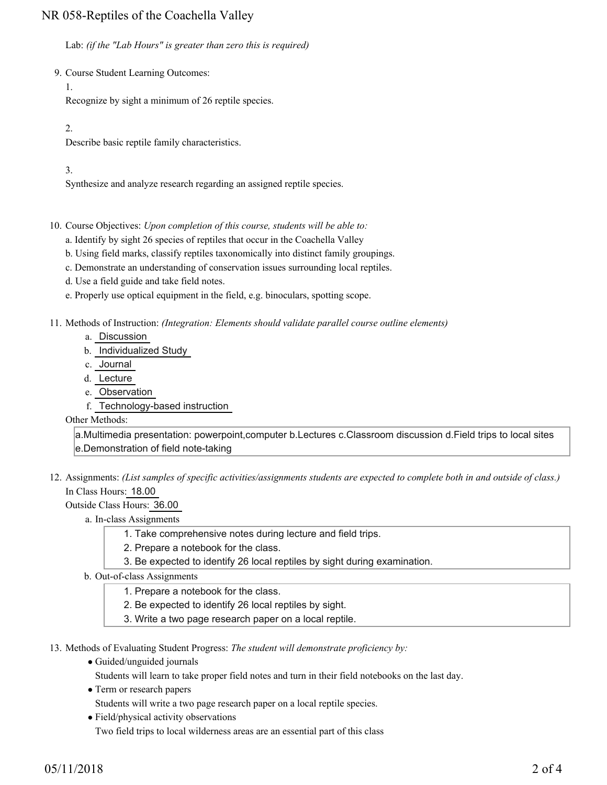## NR 058-Reptiles of the Coachella Valley

Lab: *(if the "Lab Hours" is greater than zero this is required)*

9. Course Student Learning Outcomes:

1.

Recognize by sight a minimum of 26 reptile species.

2.

Describe basic reptile family characteristics.

3.

Synthesize and analyze research regarding an assigned reptile species.

10. Course Objectives: Upon completion of this course, students will be able to:

- a. Identify by sight 26 species of reptiles that occur in the Coachella Valley
- b. Using field marks, classify reptiles taxonomically into distinct family groupings.
- c. Demonstrate an understanding of conservation issues surrounding local reptiles.
- d. Use a field guide and take field notes.
- e. Properly use optical equipment in the field, e.g. binoculars, spotting scope.

Methods of Instruction: *(Integration: Elements should validate parallel course outline elements)* 11.

- a. Discussion
- b. Individualized Study
- c. Journal
- d. Lecture
- e. Observation
- f. Technology-based instruction

Other Methods:

a.Multimedia presentation: powerpoint,computer b.Lectures c.Classroom discussion d.Field trips to local sites e.Demonstration of field note-taking

12. Assignments: (List samples of specific activities/assignments students are expected to complete both in and outside of class.) In Class Hours: 18.00

Outside Class Hours: 36.00

a. In-class Assignments

- 1. Take comprehensive notes during lecture and field trips.
- 2. Prepare a notebook for the class.
- 3. Be expected to identify 26 local reptiles by sight during examination.
- b. Out-of-class Assignments
	- 1. Prepare a notebook for the class.
	- 2. Be expected to identify 26 local reptiles by sight.
	- 3. Write a two page research paper on a local reptile.

13. Methods of Evaluating Student Progress: The student will demonstrate proficiency by:

Guided/unguided journals

Students will learn to take proper field notes and turn in their field notebooks on the last day.

• Term or research papers

Students will write a two page research paper on a local reptile species.

• Field/physical activity observations Two field trips to local wilderness areas are an essential part of this class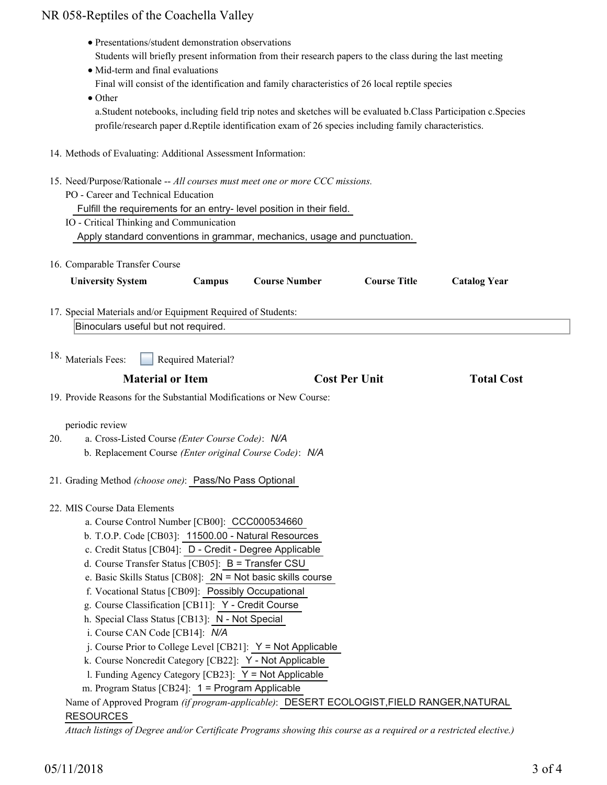# NR 058-Reptiles of the Coachella Valley

| • Mid-term and final evaluations<br>$\bullet$ Other                                                                                                                                                                                                                                                                                                                                                                                                                      | • Presentations/student demonstration observations | Students will briefly present information from their research papers to the class during the last meeting<br>Final will consist of the identification and family characteristics of 26 local reptile species<br>a. Student notebooks, including field trip notes and sketches will be evaluated b. Class Participation c. Species<br>profile/research paper d.Reptile identification exam of 26 species including family characteristics. |                      |                     |
|--------------------------------------------------------------------------------------------------------------------------------------------------------------------------------------------------------------------------------------------------------------------------------------------------------------------------------------------------------------------------------------------------------------------------------------------------------------------------|----------------------------------------------------|-------------------------------------------------------------------------------------------------------------------------------------------------------------------------------------------------------------------------------------------------------------------------------------------------------------------------------------------------------------------------------------------------------------------------------------------|----------------------|---------------------|
| 14. Methods of Evaluating: Additional Assessment Information:                                                                                                                                                                                                                                                                                                                                                                                                            |                                                    |                                                                                                                                                                                                                                                                                                                                                                                                                                           |                      |                     |
| 15. Need/Purpose/Rationale -- All courses must meet one or more CCC missions.<br>PO - Career and Technical Education<br>IO - Critical Thinking and Communication                                                                                                                                                                                                                                                                                                         |                                                    | Fulfill the requirements for an entry- level position in their field.<br>Apply standard conventions in grammar, mechanics, usage and punctuation.                                                                                                                                                                                                                                                                                         |                      |                     |
| 16. Comparable Transfer Course                                                                                                                                                                                                                                                                                                                                                                                                                                           |                                                    |                                                                                                                                                                                                                                                                                                                                                                                                                                           |                      |                     |
| <b>University System</b>                                                                                                                                                                                                                                                                                                                                                                                                                                                 | Campus                                             | <b>Course Number</b>                                                                                                                                                                                                                                                                                                                                                                                                                      | <b>Course Title</b>  | <b>Catalog Year</b> |
| 17. Special Materials and/or Equipment Required of Students:                                                                                                                                                                                                                                                                                                                                                                                                             |                                                    |                                                                                                                                                                                                                                                                                                                                                                                                                                           |                      |                     |
| Binoculars useful but not required.                                                                                                                                                                                                                                                                                                                                                                                                                                      |                                                    |                                                                                                                                                                                                                                                                                                                                                                                                                                           |                      |                     |
| <sup>18.</sup> Materials Fees:                                                                                                                                                                                                                                                                                                                                                                                                                                           | Required Material?<br><b>Material or Item</b>      |                                                                                                                                                                                                                                                                                                                                                                                                                                           | <b>Cost Per Unit</b> | <b>Total Cost</b>   |
| 19. Provide Reasons for the Substantial Modifications or New Course:                                                                                                                                                                                                                                                                                                                                                                                                     |                                                    |                                                                                                                                                                                                                                                                                                                                                                                                                                           |                      |                     |
| periodic review<br>a. Cross-Listed Course (Enter Course Code): N/A<br>20.<br>b. Replacement Course (Enter original Course Code): N/A<br>21. Grading Method (choose one): Pass/No Pass Optional                                                                                                                                                                                                                                                                           |                                                    |                                                                                                                                                                                                                                                                                                                                                                                                                                           |                      |                     |
| 22. MIS Course Data Elements<br>a. Course Control Number [CB00]: CCC000534660<br>b. T.O.P. Code [CB03]: 11500.00 - Natural Resources<br>c. Credit Status [CB04]: D - Credit - Degree Applicable<br>d. Course Transfer Status [CB05]: B = Transfer CSU<br>g. Course Classification [CB11]: Y - Credit Course<br>h. Special Class Status [CB13]: N - Not Special<br>i. Course CAN Code [CB14]: N/A<br>m. Program Status [CB24]: 1 = Program Applicable<br><b>RESOURCES</b> | f. Vocational Status [CB09]: Possibly Occupational | e. Basic Skills Status [CB08]: $2N = Not$ basic skills course<br>j. Course Prior to College Level [CB21]: $Y = Not$ Applicable<br>k. Course Noncredit Category [CB22]: Y - Not Applicable<br>1. Funding Agency Category [CB23]: Y = Not Applicable<br>Name of Approved Program (if program-applicable): DESERT ECOLOGIST, FIELD RANGER, NATURAL                                                                                           |                      |                     |

*Attach listings of Degree and/or Certificate Programs showing this course as a required or a restricted elective.)*